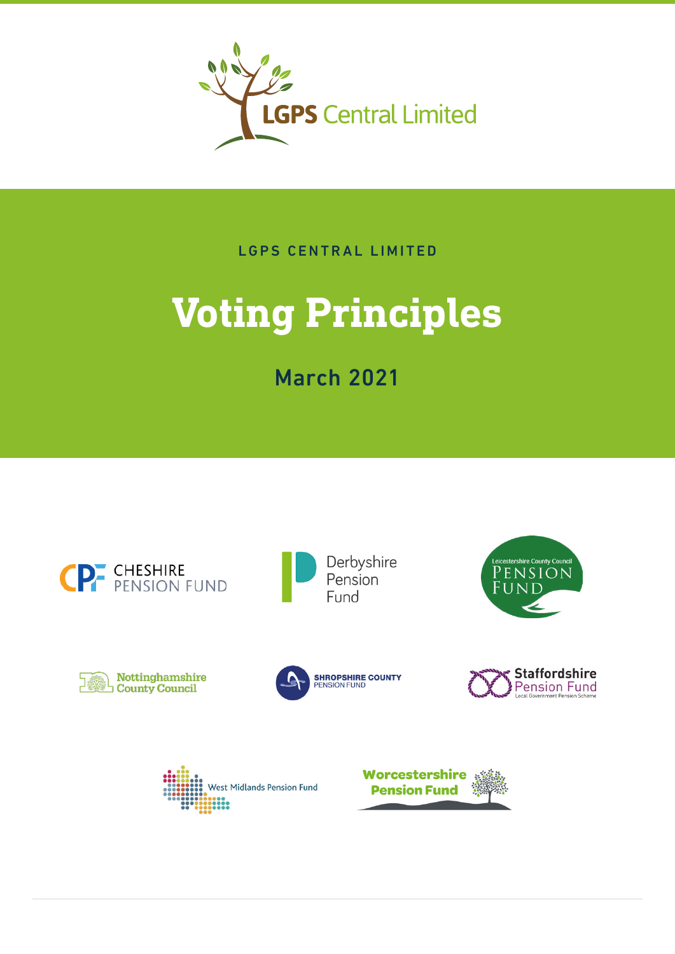

LGPS CENTRAL LIMITED

# **Voting Principles**

March 2021

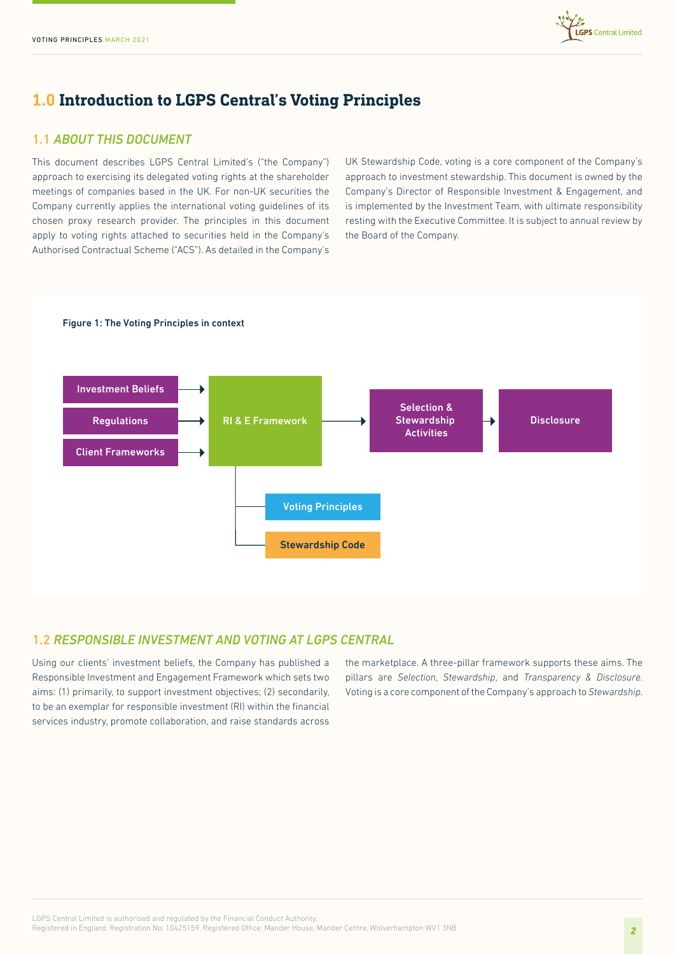

# **1.0 Introduction to LGPS Central's Voting Principles**

# 1.1 *ABOUT THIS DOCUMENT*

This document describes LGPS Central Limited's ("the Company") approach to exercising its delegated voting rights at the shareholder meetings of companies based in the UK. For non-UK securities the Company currently applies the international voting guidelines of its chosen proxy research provider. The principles in this document apply to voting rights attached to securities held in the Company's Authorised Contractual Scheme ("ACS"). As detailed in the Company's

UK Stewardship Code, voting is a core component of the Company's approach to investment stewardship. This document is owned by the Company's Director of Responsible Investment & Engagement, and is implemented by the Investment Team, with ultimate responsibility resting with the Executive Committee. It is subject to annual review by the Board of the Company.



# 1.2 *RESPONSIBLE INVESTMENT AND VOTING AT LGPS CENTRAL*

Using our clients' investment beliefs, the Company has published a Responsible Investment and Engagement Framework which sets two aims: (1) primarily, to support investment objectives; (2) secondarily, to be an exemplar for responsible investment (RI) within the financial services industry, promote collaboration, and raise standards across

the marketplace. A three-pillar framework supports these aims. The pillars are *Selection*, *Stewardship*, and *Transparency & Disclosure*. Voting is a core component of the Company's approach to *Stewardship*.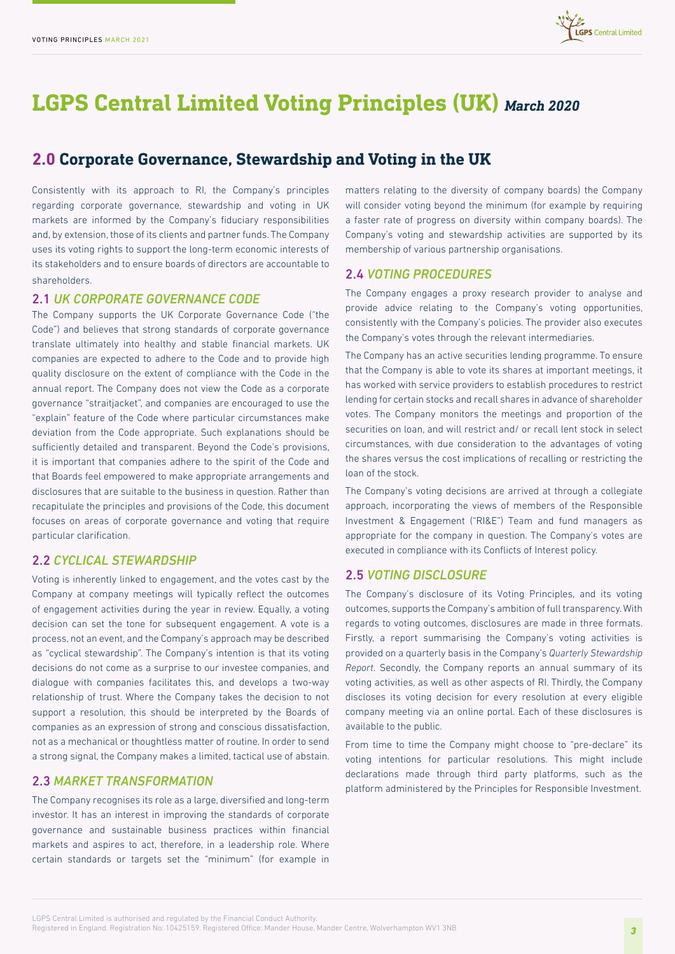

# **LGPS Central Limited Voting Principles (UK)** *March 2020*

# **2.0 Corporate Governance, Stewardship and Voting in the UK**

Consistently with its approach to RI, the Company's principles regarding corporate governance, stewardship and voting in UK markets are informed by the Company's fiduciary responsibilities and, by extension, those of its clients and partner funds. The Company uses its voting rights to support the long-term economic interests of its stakeholders and to ensure boards of directors are accountable to shareholders.

## 2.1 *UK CORPORATE GOVERNANCE CODE*

The Company supports the UK Corporate Governance Code ("the Code") and believes that strong standards of corporate governance translate ultimately into healthy and stable financial markets. UK companies are expected to adhere to the Code and to provide high quality disclosure on the extent of compliance with the Code in the annual report. The Company does not view the Code as a corporate governance "straitjacket", and companies are encouraged to use the "explain" feature of the Code where particular circumstances make deviation from the Code appropriate. Such explanations should be sufficiently detailed and transparent. Beyond the Code's provisions, it is important that companies adhere to the spirit of the Code and that Boards feel empowered to make appropriate arrangements and disclosures that are suitable to the business in question. Rather than recapitulate the principles and provisions of the Code, this document focuses on areas of corporate governance and voting that require particular clarification.

# 2.2 *CYCLICAL STEWARDSHIP*

Voting is inherently linked to engagement, and the votes cast by the Company at company meetings will typically reflect the outcomes of engagement activities during the year in review. Equally, a voting decision can set the tone for subsequent engagement. A vote is a process, not an event, and the Company's approach may be described as "cyclical stewardship". The Company's intention is that its voting decisions do not come as a surprise to our investee companies, and dialogue with companies facilitates this, and develops a two-way relationship of trust. Where the Company takes the decision to not support a resolution, this should be interpreted by the Boards of companies as an expression of strong and conscious dissatisfaction, not as a mechanical or thoughtless matter of routine. In order to send a strong signal, the Company makes a limited, tactical use of abstain.

#### 2.3 *MARKET TRANSFORMATION*

The Company recognises its role as a large, diversified and long-term investor. It has an interest in improving the standards of corporate governance and sustainable business practices within financial markets and aspires to act, therefore, in a leadership role. Where certain standards or targets set the "minimum" (for example in

matters relating to the diversity of company boards) the Company will consider voting beyond the minimum (for example by requiring a faster rate of progress on diversity within company boards). The Company's voting and stewardship activities are supported by its membership of various partnership organisations.

## 2.4 *VOTING PROCEDURES*

The Company engages a proxy research provider to analyse and provide advice relating to the Company's voting opportunities, consistently with the Company's policies. The provider also executes the Company's votes through the relevant intermediaries.

The Company has an active securities lending programme. To ensure that the Company is able to vote its shares at important meetings, it has worked with service providers to establish procedures to restrict lending for certain stocks and recall shares in advance of shareholder votes. The Company monitors the meetings and proportion of the securities on loan, and will restrict and/ or recall lent stock in select circumstances, with due consideration to the advantages of voting the shares versus the cost implications of recalling or restricting the loan of the stock.

The Company's voting decisions are arrived at through a collegiate approach, incorporating the views of members of the Responsible Investment & Engagement ("RI&E") Team and fund managers as appropriate for the company in question. The Company's votes are executed in compliance with its Conflicts of Interest policy.

# 2.5 *VOTING DISCLOSURE*

The Company's disclosure of its Voting Principles, and its voting outcomes, supports the Company's ambition of full transparency. With regards to voting outcomes, disclosures are made in three formats. Firstly, a report summarising the Company's voting activities is provided on a quarterly basis in the Company's *Quarterly Stewardship Report*. Secondly, the Company reports an annual summary of its voting activities, as well as other aspects of RI. Thirdly, the Company discloses its voting decision for every resolution at every eligible company meeting via an online portal. Each of these disclosures is available to the public.

From time to time the Company might choose to "pre-declare" its voting intentions for particular resolutions. This might include declarations made through third party platforms, such as the platform administered by the Principles for Responsible Investment.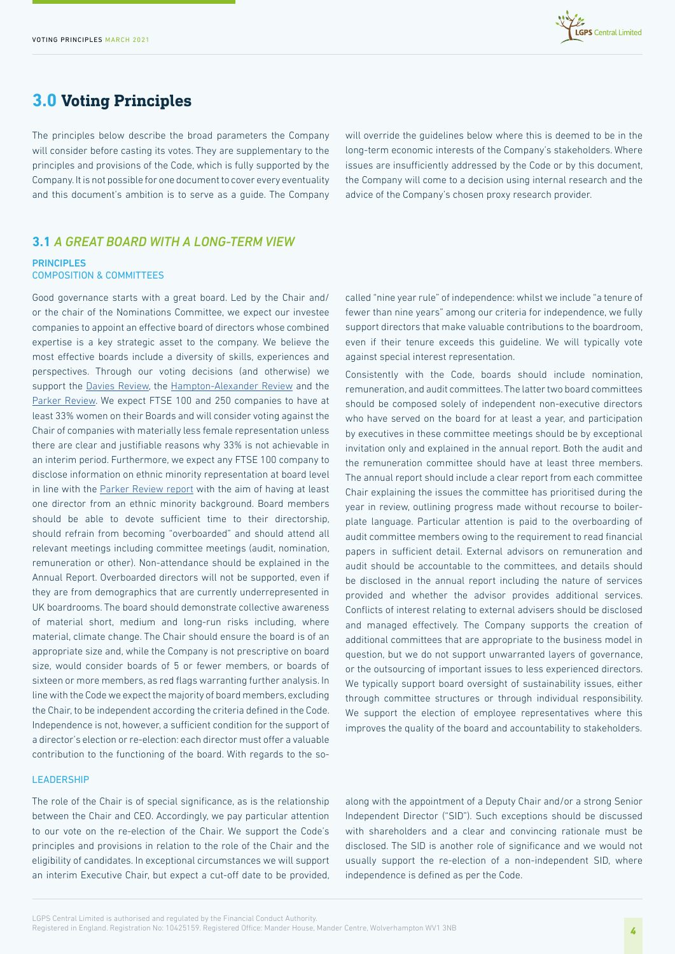

# **3.0 Voting Principles**

The principles below describe the broad parameters the Company will consider before casting its votes. They are supplementary to the principles and provisions of the Code, which is fully supported by the Company. It is not possible for one document to cover every eventuality and this document's ambition is to serve as a guide. The Company

will override the guidelines below where this is deemed to be in the long-term economic interests of the Company's stakeholders. Where issues are insufficiently addressed by the Code or by this document, the Company will come to a decision using internal research and the advice of the Company's chosen proxy research provider.

# **3.1** *A GREAT BOARD WITH A LONG-TERM VIEW*

#### **PRINCIPLES** COMPOSITION & COMMITTEES

Good governance starts with a great board. Led by the Chair and/ or the chair of the Nominations Committee, we expect our investee companies to appoint an effective board of directors whose combined expertise is a key strategic asset to the company. We believe the most effective boards include a diversity of skills, experiences and perspectives. Through our voting decisions (and otherwise) we support the [Davies Review](https://www.gov.uk/government/publications/women-on-boards-5-year-summary-davies-review), the [Hampton-Alexander Review](https://assets.publishing.service.gov.uk/government/uploads/system/uploads/attachment_data/file/613085/ftse-women-leaders-hampton-alexander-review.pdf) and the [Parker Review](https://assets.ey.com/content/dam/ey-sites/ey-com/en_uk/news/2020/02/ey-parker-review-2020-report-final.pdf). We expect FTSE 100 and 250 companies to have at least 33% women on their Boards and will consider voting against the Chair of companies with materially less female representation unless there are clear and justifiable reasons why 33% is not achievable in an interim period. Furthermore, we expect any FTSE 100 company to disclose information on ethnic minority representation at board level in line with the [Parker Review report](https://www.ey.com/en_uk/news/2020/02/new-parker-review-report-reveals-slow-progress-on-ethnic-diversity-of-ftse-boards) with the aim of having at least one director from an ethnic minority background. Board members should be able to devote sufficient time to their directorship, should refrain from becoming "overboarded" and should attend all relevant meetings including committee meetings (audit, nomination, remuneration or other). Non-attendance should be explained in the Annual Report. Overboarded directors will not be supported, even if they are from demographics that are currently underrepresented in UK boardrooms. The board should demonstrate collective awareness of material short, medium and long-run risks including, where material, climate change. The Chair should ensure the board is of an appropriate size and, while the Company is not prescriptive on board size, would consider boards of 5 or fewer members, or boards of sixteen or more members, as red flags warranting further analysis. In line with the Code we expect the majority of board members, excluding the Chair, to be independent according the criteria defined in the Code. Independence is not, however, a sufficient condition for the support of a director's election or re-election: each director must offer a valuable contribution to the functioning of the board. With regards to the so-

#### **LEADERSHIP**

The role of the Chair is of special significance, as is the relationship between the Chair and CEO. Accordingly, we pay particular attention to our vote on the re-election of the Chair. We support the Code's principles and provisions in relation to the role of the Chair and the eligibility of candidates. In exceptional circumstances we will support an interim Executive Chair, but expect a cut-off date to be provided, called "nine year rule" of independence: whilst we include "a tenure of fewer than nine years" among our criteria for independence, we fully support directors that make valuable contributions to the boardroom, even if their tenure exceeds this guideline. We will typically vote against special interest representation.

Consistently with the Code, boards should include nomination, remuneration, and audit committees. The latter two board committees should be composed solely of independent non-executive directors who have served on the board for at least a year, and participation by executives in these committee meetings should be by exceptional invitation only and explained in the annual report. Both the audit and the remuneration committee should have at least three members. The annual report should include a clear report from each committee Chair explaining the issues the committee has prioritised during the year in review, outlining progress made without recourse to boilerplate language. Particular attention is paid to the overboarding of audit committee members owing to the requirement to read financial papers in sufficient detail. External advisors on remuneration and audit should be accountable to the committees, and details should be disclosed in the annual report including the nature of services provided and whether the advisor provides additional services. Conflicts of interest relating to external advisers should be disclosed and managed effectively. The Company supports the creation of additional committees that are appropriate to the business model in question, but we do not support unwarranted layers of governance, or the outsourcing of important issues to less experienced directors. We typically support board oversight of sustainability issues, either through committee structures or through individual responsibility. We support the election of employee representatives where this improves the quality of the board and accountability to stakeholders.

along with the appointment of a Deputy Chair and/or a strong Senior Independent Director ("SID"). Such exceptions should be discussed with shareholders and a clear and convincing rationale must be disclosed. The SID is another role of significance and we would not usually support the re-election of a non-independent SID, where independence is defined as per the Code.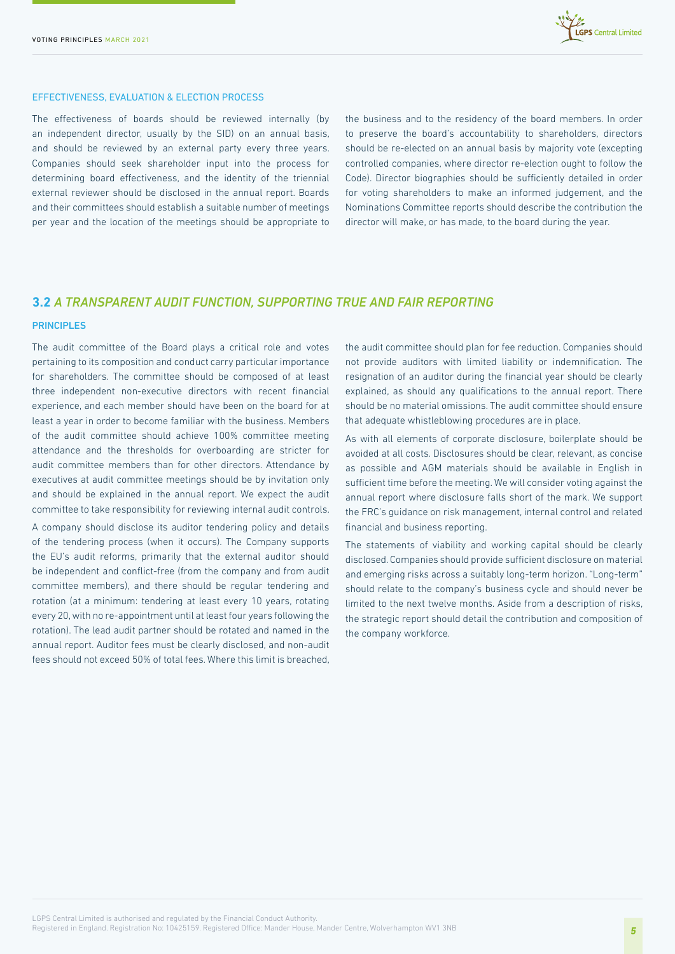

#### EFFECTIVENESS, EVALUATION & ELECTION PROCESS

The effectiveness of boards should be reviewed internally (by an independent director, usually by the SID) on an annual basis, and should be reviewed by an external party every three years. Companies should seek shareholder input into the process for determining board effectiveness, and the identity of the triennial external reviewer should be disclosed in the annual report. Boards and their committees should establish a suitable number of meetings per year and the location of the meetings should be appropriate to

the business and to the residency of the board members. In order to preserve the board's accountability to shareholders, directors should be re-elected on an annual basis by majority vote (excepting controlled companies, where director re-election ought to follow the Code). Director biographies should be sufficiently detailed in order for voting shareholders to make an informed judgement, and the Nominations Committee reports should describe the contribution the director will make, or has made, to the board during the year.

# **3.2** *A TRANSPARENT AUDIT FUNCTION, SUPPORTING TRUE AND FAIR REPORTING*

#### PRINCIPLES

The audit committee of the Board plays a critical role and votes pertaining to its composition and conduct carry particular importance for shareholders. The committee should be composed of at least three independent non-executive directors with recent financial experience, and each member should have been on the board for at least a year in order to become familiar with the business. Members of the audit committee should achieve 100% committee meeting attendance and the thresholds for overboarding are stricter for audit committee members than for other directors. Attendance by executives at audit committee meetings should be by invitation only and should be explained in the annual report. We expect the audit committee to take responsibility for reviewing internal audit controls.

A company should disclose its auditor tendering policy and details of the tendering process (when it occurs). The Company supports the EU's audit reforms, primarily that the external auditor should be independent and conflict-free (from the company and from audit committee members), and there should be regular tendering and rotation (at a minimum: tendering at least every 10 years, rotating every 20, with no re-appointment until at least four years following the rotation). The lead audit partner should be rotated and named in the annual report. Auditor fees must be clearly disclosed, and non-audit fees should not exceed 50% of total fees. Where this limit is breached,

the audit committee should plan for fee reduction. Companies should not provide auditors with limited liability or indemnification. The resignation of an auditor during the financial year should be clearly explained, as should any qualifications to the annual report. There should be no material omissions. The audit committee should ensure that adequate whistleblowing procedures are in place.

As with all elements of corporate disclosure, boilerplate should be avoided at all costs. Disclosures should be clear, relevant, as concise as possible and AGM materials should be available in English in sufficient time before the meeting. We will consider voting against the annual report where disclosure falls short of the mark. We support the FRC's guidance on risk management, internal control and related financial and business reporting.

The statements of viability and working capital should be clearly disclosed. Companies should provide sufficient disclosure on material and emerging risks across a suitably long-term horizon. "Long-term" should relate to the company's business cycle and should never be limited to the next twelve months. Aside from a description of risks, the strategic report should detail the contribution and composition of the company workforce.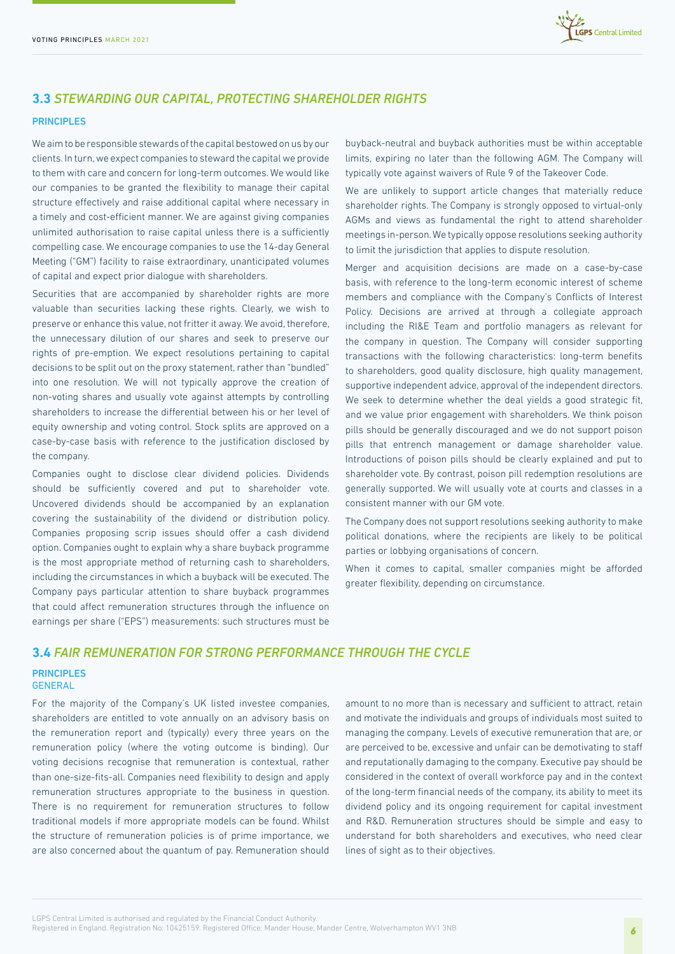

# **3.3** *STEWARDING OUR CAPITAL, PROTECTING SHAREHOLDER RIGHTS*

#### PRINCIPLES

We aim to be responsible stewards of the capital bestowed on us by our clients. In turn, we expect companies to steward the capital we provide to them with care and concern for long-term outcomes. We would like our companies to be granted the flexibility to manage their capital structure effectively and raise additional capital where necessary in a timely and cost-efficient manner. We are against giving companies unlimited authorisation to raise capital unless there is a sufficiently compelling case. We encourage companies to use the 14-day General Meeting ("GM") facility to raise extraordinary, unanticipated volumes of capital and expect prior dialogue with shareholders.

Securities that are accompanied by shareholder rights are more valuable than securities lacking these rights. Clearly, we wish to preserve or enhance this value, not fritter it away. We avoid, therefore, the unnecessary dilution of our shares and seek to preserve our rights of pre-emption. We expect resolutions pertaining to capital decisions to be split out on the proxy statement, rather than "bundled" into one resolution. We will not typically approve the creation of non-voting shares and usually vote against attempts by controlling shareholders to increase the differential between his or her level of equity ownership and voting control. Stock splits are approved on a case-by-case basis with reference to the justification disclosed by the company.

Companies ought to disclose clear dividend policies. Dividends should be sufficiently covered and put to shareholder vote. Uncovered dividends should be accompanied by an explanation covering the sustainability of the dividend or distribution policy. Companies proposing scrip issues should offer a cash dividend option. Companies ought to explain why a share buyback programme is the most appropriate method of returning cash to shareholders, including the circumstances in which a buyback will be executed. The Company pays particular attention to share buyback programmes that could affect remuneration structures through the influence on earnings per share ("EPS") measurements: such structures must be

buyback-neutral and buyback authorities must be within acceptable limits, expiring no later than the following AGM. The Company will typically vote against waivers of Rule 9 of the Takeover Code.

We are unlikely to support article changes that materially reduce shareholder rights. The Company is strongly opposed to virtual-only AGMs and views as fundamental the right to attend shareholder meetings in-person. We typically oppose resolutions seeking authority to limit the jurisdiction that applies to dispute resolution.

Merger and acquisition decisions are made on a case-by-case basis, with reference to the long-term economic interest of scheme members and compliance with the Company's Conflicts of Interest Policy. Decisions are arrived at through a collegiate approach including the RI&E Team and portfolio managers as relevant for the company in question. The Company will consider supporting transactions with the following characteristics: long-term benefits to shareholders, good quality disclosure, high quality management, supportive independent advice, approval of the independent directors. We seek to determine whether the deal yields a good strategic fit, and we value prior engagement with shareholders. We think poison pills should be generally discouraged and we do not support poison pills that entrench management or damage shareholder value. Introductions of poison pills should be clearly explained and put to shareholder vote. By contrast, poison pill redemption resolutions are generally supported. We will usually vote at courts and classes in a consistent manner with our GM vote.

The Company does not support resolutions seeking authority to make political donations, where the recipients are likely to be political parties or lobbying organisations of concern.

When it comes to capital, smaller companies might be afforded greater flexibility, depending on circumstance.

# **3.4** *FAIR REMUNERATION FOR STRONG PERFORMANCE THROUGH THE CYCLE*

#### PRINCIPLES GENERAL

For the majority of the Company's UK listed investee companies, shareholders are entitled to vote annually on an advisory basis on the remuneration report and (typically) every three years on the remuneration policy (where the voting outcome is binding). Our voting decisions recognise that remuneration is contextual, rather than one-size-fits-all. Companies need flexibility to design and apply remuneration structures appropriate to the business in question. There is no requirement for remuneration structures to follow traditional models if more appropriate models can be found. Whilst the structure of remuneration policies is of prime importance, we are also concerned about the quantum of pay. Remuneration should

amount to no more than is necessary and sufficient to attract, retain and motivate the individuals and groups of individuals most suited to managing the company. Levels of executive remuneration that are, or are perceived to be, excessive and unfair can be demotivating to staff and reputationally damaging to the company. Executive pay should be considered in the context of overall workforce pay and in the context of the long-term financial needs of the company, its ability to meet its dividend policy and its ongoing requirement for capital investment and R&D. Remuneration structures should be simple and easy to understand for both shareholders and executives, who need clear lines of sight as to their objectives.

LGPS Central Limited is authorised and regulated by the Financial Conduct Authority. Registered in England. Registration No: 10425159. Registered Office: Mander House, Mander Centre, Wolverhampton WV1 3NB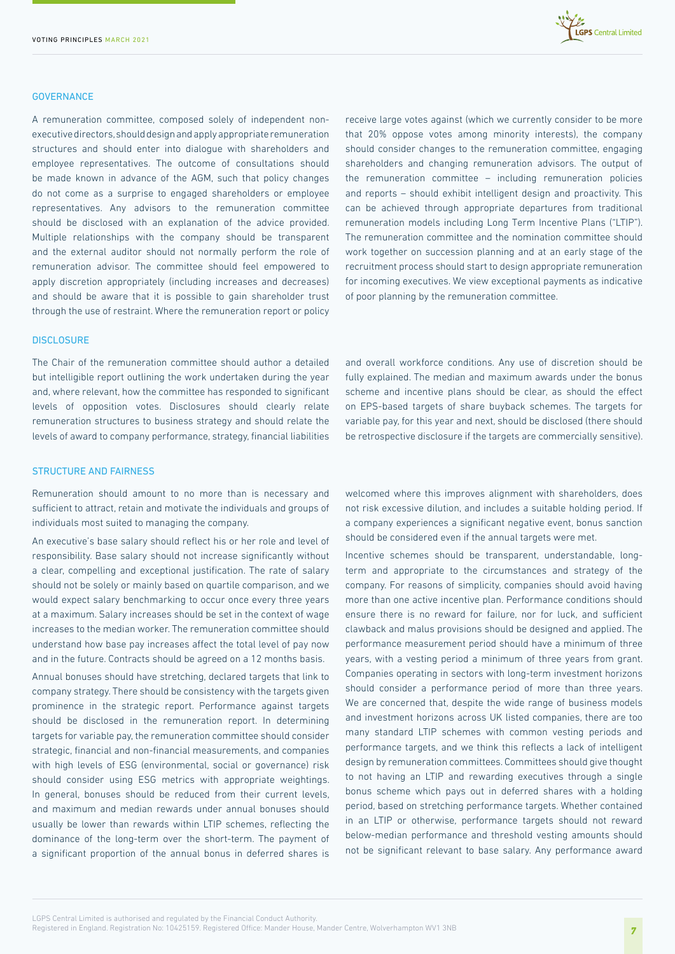

#### **GOVERNANCE**

A remuneration committee, composed solely of independent nonexecutive directors, should design and apply appropriate remuneration structures and should enter into dialogue with shareholders and employee representatives. The outcome of consultations should be made known in advance of the AGM, such that policy changes do not come as a surprise to engaged shareholders or employee representatives. Any advisors to the remuneration committee should be disclosed with an explanation of the advice provided. Multiple relationships with the company should be transparent and the external auditor should not normally perform the role of remuneration advisor. The committee should feel empowered to apply discretion appropriately (including increases and decreases) and should be aware that it is possible to gain shareholder trust through the use of restraint. Where the remuneration report or policy

# receive large votes against (which we currently consider to be more that 20% oppose votes among minority interests), the company should consider changes to the remuneration committee, engaging shareholders and changing remuneration advisors. The output of the remuneration committee – including remuneration policies and reports – should exhibit intelligent design and proactivity. This can be achieved through appropriate departures from traditional remuneration models including Long Term Incentive Plans ("LTIP"). The remuneration committee and the nomination committee should work together on succession planning and at an early stage of the recruitment process should start to design appropriate remuneration for incoming executives. We view exceptional payments as indicative of poor planning by the remuneration committee.

#### **DISCLOSURE**

The Chair of the remuneration committee should author a detailed but intelligible report outlining the work undertaken during the year and, where relevant, how the committee has responded to significant levels of opposition votes. Disclosures should clearly relate remuneration structures to business strategy and should relate the levels of award to company performance, strategy, financial liabilities

#### STRUCTURE AND FAIRNESS

Remuneration should amount to no more than is necessary and sufficient to attract, retain and motivate the individuals and groups of individuals most suited to managing the company.

An executive's base salary should reflect his or her role and level of responsibility. Base salary should not increase significantly without a clear, compelling and exceptional justification. The rate of salary should not be solely or mainly based on quartile comparison, and we would expect salary benchmarking to occur once every three years at a maximum. Salary increases should be set in the context of wage increases to the median worker. The remuneration committee should understand how base pay increases affect the total level of pay now and in the future. Contracts should be agreed on a 12 months basis.

Annual bonuses should have stretching, declared targets that link to company strategy. There should be consistency with the targets given prominence in the strategic report. Performance against targets should be disclosed in the remuneration report. In determining targets for variable pay, the remuneration committee should consider strategic, financial and non-financial measurements, and companies with high levels of ESG (environmental, social or governance) risk should consider using ESG metrics with appropriate weightings. In general, bonuses should be reduced from their current levels, and maximum and median rewards under annual bonuses should usually be lower than rewards within LTIP schemes, reflecting the dominance of the long-term over the short-term. The payment of a significant proportion of the annual bonus in deferred shares is

and overall workforce conditions. Any use of discretion should be fully explained. The median and maximum awards under the bonus scheme and incentive plans should be clear, as should the effect on EPS-based targets of share buyback schemes. The targets for variable pay, for this year and next, should be disclosed (there should be retrospective disclosure if the targets are commercially sensitive).

welcomed where this improves alignment with shareholders, does not risk excessive dilution, and includes a suitable holding period. If a company experiences a significant negative event, bonus sanction should be considered even if the annual targets were met.

Incentive schemes should be transparent, understandable, longterm and appropriate to the circumstances and strategy of the company. For reasons of simplicity, companies should avoid having more than one active incentive plan. Performance conditions should ensure there is no reward for failure, nor for luck, and sufficient clawback and malus provisions should be designed and applied. The performance measurement period should have a minimum of three years, with a vesting period a minimum of three years from grant. Companies operating in sectors with long-term investment horizons should consider a performance period of more than three years. We are concerned that, despite the wide range of business models and investment horizons across UK listed companies, there are too many standard LTIP schemes with common vesting periods and performance targets, and we think this reflects a lack of intelligent design by remuneration committees. Committees should give thought to not having an LTIP and rewarding executives through a single bonus scheme which pays out in deferred shares with a holding period, based on stretching performance targets. Whether contained in an LTIP or otherwise, performance targets should not reward below-median performance and threshold vesting amounts should not be significant relevant to base salary. Any performance award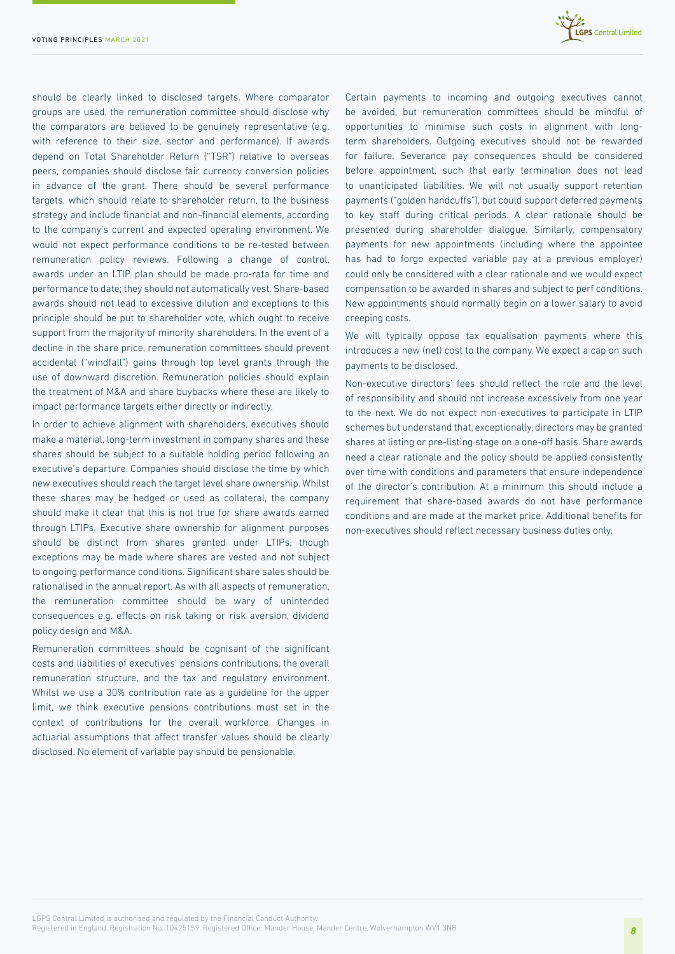

should be clearly linked to disclosed targets. Where comparator groups are used, the remuneration committee should disclose why the comparators are believed to be genuinely representative (e.g. with reference to their size, sector and performance). If awards depend on Total Shareholder Return ("TSR") relative to overseas peers, companies should disclose fair currency conversion policies in advance of the grant. There should be several performance targets, which should relate to shareholder return, to the business strategy and include financial and non-financial elements, according to the company's current and expected operating environment. We would not expect performance conditions to be re-tested between remuneration policy reviews. Following a change of control, awards under an LTIP plan should be made pro-rata for time and performance to date; they should not automatically vest. Share-based awards should not lead to excessive dilution and exceptions to this principle should be put to shareholder vote, which ought to receive support from the majority of minority shareholders. In the event of a decline in the share price, remuneration committees should prevent accidental ("windfall") gains through top level grants through the use of downward discretion. Remuneration policies should explain the treatment of M&A and share buybacks where these are likely to impact performance targets either directly or indirectly.

In order to achieve alignment with shareholders, executives should make a material, long-term investment in company shares and these shares should be subject to a suitable holding period following an executive's departure. Companies should disclose the time by which new executives should reach the target level share ownership. Whilst these shares may be hedged or used as collateral, the company should make it clear that this is not true for share awards earned through LTIPs. Executive share ownership for alignment purposes should be distinct from shares granted under LTIPs, though exceptions may be made where shares are vested and not subject to ongoing performance conditions. Significant share sales should be rationalised in the annual report. As with all aspects of remuneration, the remuneration committee should be wary of unintended consequences e.g. effects on risk taking or risk aversion, dividend policy design and M&A.

Remuneration committees should be cognisant of the significant costs and liabilities of executives' pensions contributions, the overall remuneration structure, and the tax and regulatory environment. Whilst we use a 30% contribution rate as a guideline for the upper limit, we think executive pensions contributions must set in the context of contributions for the overall workforce. Changes in actuarial assumptions that affect transfer values should be clearly disclosed. No element of variable pay should be pensionable.

Certain payments to incoming and outgoing executives cannot be avoided, but remuneration committees should be mindful of opportunities to minimise such costs in alignment with longterm shareholders. Outgoing executives should not be rewarded for failure. Severance pay consequences should be considered before appointment, such that early termination does not lead to unanticipated liabilities. We will not usually support retention payments ("golden handcuffs"), but could support deferred payments to key staff during critical periods. A clear rationale should be presented during shareholder dialogue. Similarly, compensatory payments for new appointments (including where the appointee has had to forgo expected variable pay at a previous employer) could only be considered with a clear rationale and we would expect compensation to be awarded in shares and subject to perf conditions. New appointments should normally begin on a lower salary to avoid creeping costs.

We will typically oppose tax equalisation payments where this introduces a new (net) cost to the company. We expect a cap on such payments to be disclosed.

Non-executive directors' fees should reflect the role and the level of responsibility and should not increase excessively from one year to the next. We do not expect non-executives to participate in LTIP schemes but understand that, exceptionally, directors may be granted shares at listing or pre-listing stage on a one-off basis. Share awards need a clear rationale and the policy should be applied consistently over time with conditions and parameters that ensure independence of the director's contribution. At a minimum this should include a requirement that share-based awards do not have performance conditions and are made at the market price. Additional benefits for non-executives should reflect necessary business duties only.